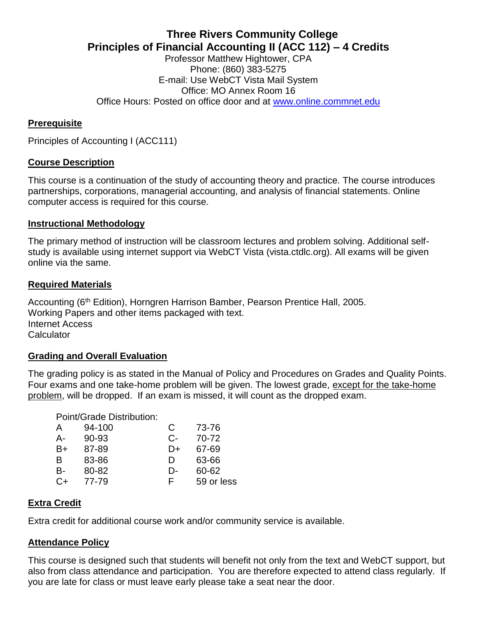# **Three Rivers Community College Principles of Financial Accounting II (ACC 112) – 4 Credits**

Professor Matthew Hightower, CPA Phone: (860) 383-5275 E-mail: Use WebCT Vista Mail System Office: MO Annex Room 16 Office Hours: Posted on office door and at [www.online.commnet.edu](http://www.online.commnet.edu/)

# **Prerequisite**

Principles of Accounting I (ACC111)

## **Course Description**

This course is a continuation of the study of accounting theory and practice. The course introduces partnerships, corporations, managerial accounting, and analysis of financial statements. Online computer access is required for this course.

#### **Instructional Methodology**

The primary method of instruction will be classroom lectures and problem solving. Additional selfstudy is available using internet support via WebCT Vista (vista.ctdlc.org). All exams will be given online via the same.

## **Required Materials**

Accounting (6<sup>th</sup> Edition), Horngren Harrison Bamber, Pearson Prentice Hall, 2005. Working Papers and other items packaged with text. Internet Access **Calculator** 

#### **Grading and Overall Evaluation**

The grading policy is as stated in the Manual of Policy and Procedures on Grades and Quality Points. Four exams and one take-home problem will be given. The lowest grade, except for the take-home problem, will be dropped. If an exam is missed, it will count as the dropped exam.

#### Point/Grade Distribution:

| A  | 94-100 | С  | 73-76      |
|----|--------|----|------------|
| А- | 90-93  | C- | 70-72      |
| B+ | 87-89  | D+ | 67-69      |
| B  | 83-86  | D  | 63-66      |
| В- | 80-82  | D- | 60-62      |
| C+ | 77-79  | F  | 59 or less |

#### **Extra Credit**

Extra credit for additional course work and/or community service is available.

#### **Attendance Policy**

This course is designed such that students will benefit not only from the text and WebCT support, but also from class attendance and participation. You are therefore expected to attend class regularly. If you are late for class or must leave early please take a seat near the door.